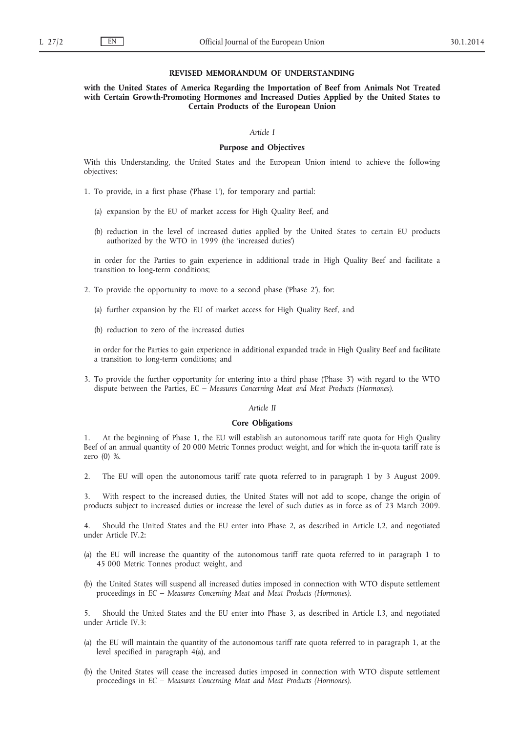#### **REVISED MEMORANDUM OF UNDERSTANDING**

**with the United States of America Regarding the Importation of Beef from Animals Not Treated with Certain Growth-Promoting Hormones and Increased Duties Applied by the United States to Certain Products of the European Union**

## *Article I*

## **Purpose and Objectives**

With this Understanding, the United States and the European Union intend to achieve the following objectives:

- 1. To provide, in a first phase ('Phase 1'), for temporary and partial:
	- (a) expansion by the EU of market access for High Quality Beef, and
	- (b) reduction in the level of increased duties applied by the United States to certain EU products authorized by the WTO in 1999 (the 'increased duties')

in order for the Parties to gain experience in additional trade in High Quality Beef and facilitate a transition to long-term conditions;

- 2. To provide the opportunity to move to a second phase ('Phase 2'), for:
	- (a) further expansion by the EU of market access for High Quality Beef, and
	- (b) reduction to zero of the increased duties

in order for the Parties to gain experience in additional expanded trade in High Quality Beef and facilitate a transition to long-term conditions; and

3. To provide the further opportunity for entering into a third phase ('Phase 3') with regard to the WTO dispute between the Parties, *EC – Measures Concerning Meat and Meat Products (Hormones)*.

### *Article II*

## **Core Obligations**

1. At the beginning of Phase 1, the EU will establish an autonomous tariff rate quota for High Quality Beef of an annual quantity of 20 000 Metric Tonnes product weight, and for which the in-quota tariff rate is zero (0) %.

2. The EU will open the autonomous tariff rate quota referred to in paragraph 1 by 3 August 2009.

3. With respect to the increased duties, the United States will not add to scope, change the origin of products subject to increased duties or increase the level of such duties as in force as of 23 March 2009.

4. Should the United States and the EU enter into Phase 2, as described in Article I.2, and negotiated under Article IV.2:

- (a) the EU will increase the quantity of the autonomous tariff rate quota referred to in paragraph 1 to 45 000 Metric Tonnes product weight, and
- (b) the United States will suspend all increased duties imposed in connection with WTO dispute settlement proceedings in *EC – Measures Concerning Meat and Meat Products (Hormones)*.

5. Should the United States and the EU enter into Phase 3, as described in Article I.3, and negotiated under Article IV.3:

- (a) the EU will maintain the quantity of the autonomous tariff rate quota referred to in paragraph 1, at the level specified in paragraph 4(a), and
- (b) the United States will cease the increased duties imposed in connection with WTO dispute settlement proceedings in *EC – Measures Concerning Meat and Meat Products (Hormones)*.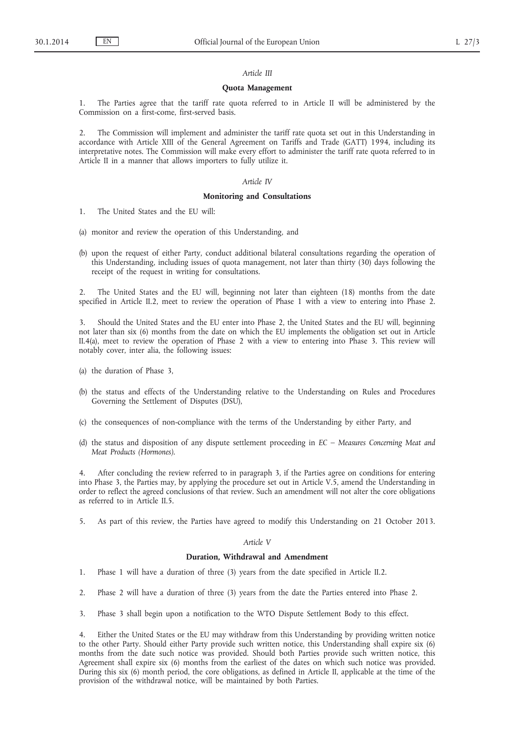### *Article III*

## **Quota Management**

1. The Parties agree that the tariff rate quota referred to in Article II will be administered by the Commission on a first-come, first-served basis.

2. The Commission will implement and administer the tariff rate quota set out in this Understanding in accordance with Article XIII of the General Agreement on Tariffs and Trade (GATT) 1994, including its interpretative notes. The Commission will make every effort to administer the tariff rate quota referred to in Article II in a manner that allows importers to fully utilize it.

## *Article IV*

## **Monitoring and Consultations**

- 1. The United States and the EU will:
- (a) monitor and review the operation of this Understanding, and
- (b) upon the request of either Party, conduct additional bilateral consultations regarding the operation of this Understanding, including issues of quota management, not later than thirty (30) days following the receipt of the request in writing for consultations.

2. The United States and the EU will, beginning not later than eighteen (18) months from the date specified in Article II.2, meet to review the operation of Phase 1 with a view to entering into Phase 2.

3. Should the United States and the EU enter into Phase 2, the United States and the EU will, beginning not later than six (6) months from the date on which the EU implements the obligation set out in Article II.4(a), meet to review the operation of Phase 2 with a view to entering into Phase 3. This review will notably cover, inter alia, the following issues:

- (a) the duration of Phase 3,
- (b) the status and effects of the Understanding relative to the Understanding on Rules and Procedures Governing the Settlement of Disputes (DSU),
- (c) the consequences of non-compliance with the terms of the Understanding by either Party, and
- (d) the status and disposition of any dispute settlement proceeding in *EC Measures Concerning Meat and Meat Products (Hormones)*.

4. After concluding the review referred to in paragraph 3, if the Parties agree on conditions for entering into Phase 3, the Parties may, by applying the procedure set out in Article V.5, amend the Understanding in order to reflect the agreed conclusions of that review. Such an amendment will not alter the core obligations as referred to in Article II.5.

5. As part of this review, the Parties have agreed to modify this Understanding on 21 October 2013.

## *Article V*

## **Duration, Withdrawal and Amendment**

- 1. Phase 1 will have a duration of three (3) years from the date specified in Article II.2.
- 2. Phase 2 will have a duration of three (3) years from the date the Parties entered into Phase 2.
- 3. Phase 3 shall begin upon a notification to the WTO Dispute Settlement Body to this effect.

4. Either the United States or the EU may withdraw from this Understanding by providing written notice to the other Party. Should either Party provide such written notice, this Understanding shall expire six (6) months from the date such notice was provided. Should both Parties provide such written notice, this Agreement shall expire six (6) months from the earliest of the dates on which such notice was provided. During this six (6) month period, the core obligations, as defined in Article II, applicable at the time of the provision of the withdrawal notice, will be maintained by both Parties.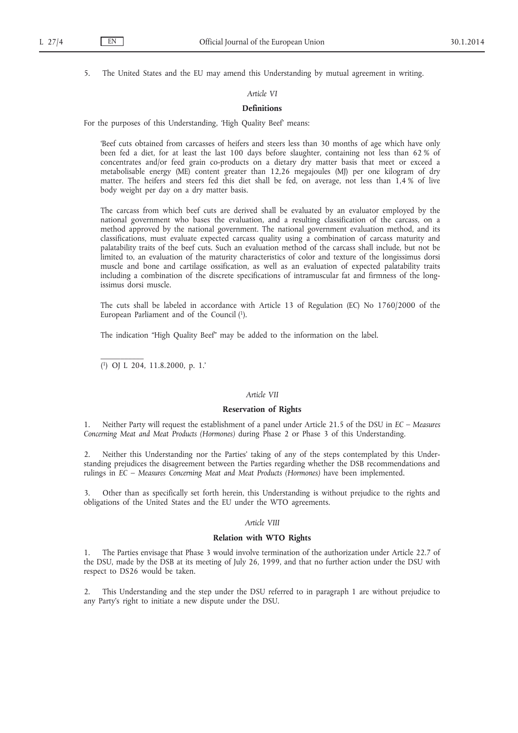5. The United States and the EU may amend this Understanding by mutual agreement in writing.

## *Article VI*

## **Definitions**

For the purposes of this Understanding, 'High Quality Beef' means:

'Beef cuts obtained from carcasses of heifers and steers less than 30 months of age which have only been fed a diet, for at least the last 100 days before slaughter, containing not less than 62 % of concentrates and/or feed grain co-products on a dietary dry matter basis that meet or exceed a metabolisable energy (ME) content greater than 12,26 megajoules (MJ) per one kilogram of dry matter. The heifers and steers fed this diet shall be fed, on average, not less than 1,4 % of live body weight per day on a dry matter basis.

The carcass from which beef cuts are derived shall be evaluated by an evaluator employed by the national government who bases the evaluation, and a resulting classification of the carcass, on a method approved by the national government. The national government evaluation method, and its classifications, must evaluate expected carcass quality using a combination of carcass maturity and palatability traits of the beef cuts. Such an evaluation method of the carcass shall include, but not be limited to, an evaluation of the maturity characteristics of color and texture of the longissimus dorsi muscle and bone and cartilage ossification, as well as an evaluation of expected palatability traits including a combination of the discrete specifications of intramuscular fat and firmness of the longissimus dorsi muscle.

The cuts shall be labeled in accordance with Article 13 of Regulation (EC) No 1760/2000 of the European Parliament and of the Council (1).

The indication "High Quality Beef" may be added to the information on the label.

( 1) OJ L 204, 11.8.2000, p. 1.'

# *Article VII*

# **Reservation of Rights**

1. Neither Party will request the establishment of a panel under Article 21.5 of the DSU in *EC – Measures Concerning Meat and Meat Products (Hormones)* during Phase 2 or Phase 3 of this Understanding.

2. Neither this Understanding nor the Parties' taking of any of the steps contemplated by this Understanding prejudices the disagreement between the Parties regarding whether the DSB recommendations and rulings in *EC – Measures Concerning Meat and Meat Products (Hormones)* have been implemented.

3. Other than as specifically set forth herein, this Understanding is without prejudice to the rights and obligations of the United States and the EU under the WTO agreements.

### *Article VIII*

# **Relation with WTO Rights**

1. The Parties envisage that Phase 3 would involve termination of the authorization under Article 22.7 of the DSU, made by the DSB at its meeting of July 26, 1999, and that no further action under the DSU with respect to DS26 would be taken.

2. This Understanding and the step under the DSU referred to in paragraph 1 are without prejudice to any Party's right to initiate a new dispute under the DSU.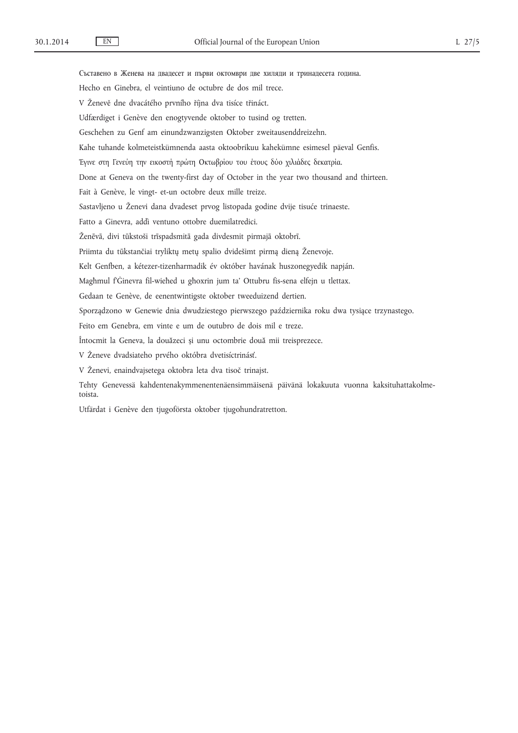Съставено в Женева на двадесет и първи октомври две хиляди и тринадесета година. Hecho en Ginebra, el veintiuno de octubre de dos mil trece. V Ženevě dne dvacátého prvního října dva tisíce třináct. Udfærdiget i Genève den enogtyvende oktober to tusind og tretten. Geschehen zu Genf am einundzwanzigsten Oktober zweitausenddreizehn. Kahe tuhande kolmeteistkümnenda aasta oktoobrikuu kahekümne esimesel päeval Genfis. Έγινε στη Γενεύη την εικοστή πρώτη Οκτωβρίου του έτους δύο χιλιάδες δεκατρία. Done at Geneva on the twenty-first day of October in the year two thousand and thirteen. Fait à Genève, le vingt- et-un octobre deux mille treize. Sastavljeno u Ženevi dana dvadeset prvog listopada godine dvije tisuće trinaeste. Fatto a Ginevra, addì ventuno ottobre duemilatredici. Ženēvā, divi tūkstoši trīspadsmitā gada divdesmit pirmajā oktobrī. Priimta du tūkstančiai tryliktų metų spalio dvidešimt pirmą dieną Ženevoje. Kelt Genfben, a kétezer-tizenharmadik év október havának huszonegyedik napján. Magħmul f'Ġinevra fil-wieħed u għoxrin jum ta' Ottubru fis-sena elfejn u tlettax. Gedaan te Genève, de eenentwintigste oktober tweeduizend dertien. Sporządzono w Genewie dnia dwudziestego pierwszego października roku dwa tysiące trzynastego. Feito em Genebra, em vinte e um de outubro de dois mil e treze. Întocmit la Geneva, la douăzeci și unu octombrie două mii treisprezece. V Ženeve dvadsiateho prvého októbra dvetisíctrinásť. V Ženevi, enaindvajsetega oktobra leta dva tisoč trinajst. Tehty Genevessä kahdentenakymmenentenäensimmäisenä päivänä lokakuuta vuonna kaksituhattakolmetoista. Utfärdat i Genève den tjugoförsta oktober tjugohundratretton.